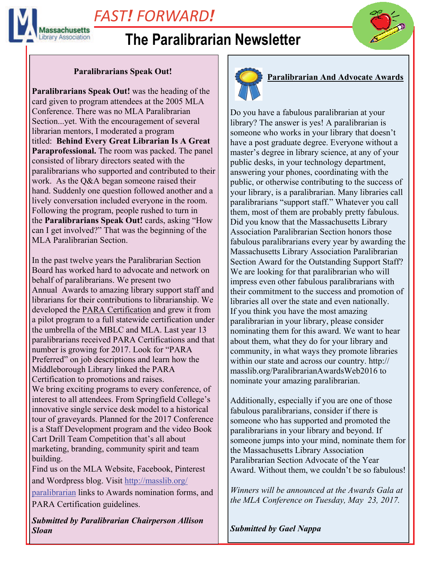

# *FAST! FORWARD!*

## **The Paralibrarian Newsletter**

## **Paralibrarians Speak Out!**

**Paralibrarians Speak Out!** was the heading of the card given to program attendees at the 2005 MLA Conference. There was no MLA Paralibrarian Section...yet. With the encouragement of several librarian mentors, I moderated a program titled: **Behind Every Great Librarian Is A Great Paraprofessional.** The room was packed. The panel consisted of library directors seated with the paralibrarians who supported and contributed to their work. As the Q&A began someone raised their hand. Suddenly one question followed another and a lively conversation included everyone in the room. Following the program, people rushed to turn in the **Paralibrarians Speak Out!** cards, asking "How can I get involved?" That was the beginning of the MLA Paralibrarian Section.

In the past twelve years the Paralibrarian Section Board has worked hard to advocate and network on behalf of paralibrarians. We present two Annual Awards to amazing library support staff and librarians for their contributions to librarianship. We developed the PARA Certification and grew it from a pilot program to a full statewide certification under the umbrella of the MBLC and MLA. Last year 13 paralibrarians received PARA Certifications and that number is growing for 2017. Look for "PARA Preferred" on job descriptions and learn how the Middleborough Library linked the PARA Certification to promotions and raises. We bring exciting programs to every conference, of interest to all attendees. From Springfield College's innovative single service desk model to a historical tour of graveyards. Planned for the 2017 Conference is a Staff Development program and the video Book Cart Drill Team Competition that's all about marketing, branding, community spirit and team building. Find us on the MLA Website, Facebook, Pinterest

and Wordpress blog. Visit [http://masslib.org/](http://masslib.org/paralibrarian) [paralibrarian](http://masslib.org/paralibrarian) links to Awards nomination forms, and PARA Certification guidelines.

*Submitted by Paralibrarian Chairperson Allison Sloan*



## **Paralibrarian And Advocate Awards**

Do you have a fabulous paralibrarian at your library? The answer is yes! A paralibrarian is someone who works in your library that doesn't have a post graduate degree. Everyone without a master's degree in library science, at any of your public desks, in your technology department, answering your phones, coordinating with the public, or otherwise contributing to the success of your library, is a paralibrarian. Many libraries call paralibrarians "support staff." Whatever you call them, most of them are probably pretty fabulous. Did you know that the Massachusetts Library Association Paralibrarian Section honors those fabulous paralibrarians every year by awarding the Massachusetts Library Association Paralibrarian Section Award for the Outstanding Support Staff? We are looking for that paralibrarian who will impress even other fabulous paralibrarians with their commitment to the success and promotion of libraries all over the state and even nationally. If you think you have the most amazing paralibrarian in your library, please consider nominating them for this award. We want to hear about them, what they do for your library and community, in what ways they promote libraries within our state and across our country. http:// masslib.org/ParalibrarianAwardsWeb2016 to nominate your amazing paralibrarian.

Additionally, especially if you are one of those fabulous paralibrarians, consider if there is someone who has supported and promoted the paralibrarians in your library and beyond. If someone jumps into your mind, nominate them for the Massachusetts Library Association Paralibrarian Section Advocate of the Year Award. Without them, we couldn't be so fabulous!

*Winners will be announced at the Awards Gala at the MLA Conference on Tuesday, May 23, 2017.*

*Submitted by Gael Nappa*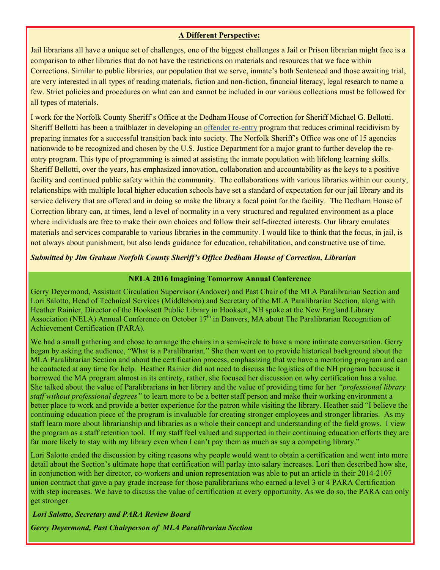#### **A Different Perspective:**

Jail librarians all have a unique set of challenges, one of the biggest challenges a Jail or Prison librarian might face is a comparison to other libraries that do not have the restrictions on materials and resources that we face within Corrections. Similar to public libraries, our population that we serve, inmate's both Sentenced and those awaiting trial, are very interested in all types of reading materials, fiction and non-fiction, financial literacy, legal research to name a few. Strict policies and procedures on what can and cannot be included in our various collections must be followed for all types of materials.

I work for the Norfolk County Sheriff's Office at the Dedham House of Correction for Sheriff Michael G. Bellotti. Sheriff Bellotti has been a trailblazer in developing an [offender re-entry](http://www.norfolksheriff.com/inmate_programs.html) program that reduces criminal recidivism by preparing inmates for a successful transition back into society. The Norfolk Sheriff's Office was one of 15 agencies nationwide to be recognized and chosen by the U.S. Justice Department for a major grant to further develop the reentry program. This type of programming is aimed at assisting the inmate population with lifelong learning skills. Sheriff Bellotti, over the years, has emphasized innovation, collaboration and accountability as the keys to a positive facility and continued public safety within the community. The collaborations with various libraries within our county, relationships with multiple local higher education schools have set a standard of expectation for our jail library and its service delivery that are offered and in doing so make the library a focal point for the facility. The Dedham House of Correction library can, at times, lend a level of normality in a very structured and regulated environment as a place where individuals are free to make their own choices and follow their self-directed interests. Our library emulates materials and services comparable to various libraries in the community. I would like to think that the focus, in jail, is not always about punishment, but also lends guidance for education, rehabilitation, and constructive use of time.

### *Submitted by Jim Graham Norfolk County Sheriff's Office Dedham House of Correction, Librarian*

### **NELA 2016 Imagining Tomorrow Annual Conference**

Gerry Deyermond, Assistant Circulation Supervisor (Andover) and Past Chair of the MLA Paralibrarian Section and Lori Salotto, Head of Technical Services (Middleboro) and Secretary of the MLA Paralibrarian Section, along with Heather Rainier, Director of the Hooksett Public Library in Hooksett, NH spoke at the New England Library Association (NELA) Annual Conference on October  $17<sup>th</sup>$  in Danvers, MA about The Paralibrarian Recognition of Achievement Certification (PARA).

We had a small gathering and chose to arrange the chairs in a semi-circle to have a more intimate conversation. Gerry began by asking the audience, "What is a Paralibrarian." She then went on to provide historical background about the MLA Paralibrarian Section and about the certification process, emphasizing that we have a mentoring program and can be contacted at any time for help. Heather Rainier did not need to discuss the logistics of the NH program because it borrowed the MA program almost in its entirety, rather, she focused her discussion on why certification has a value. She talked about the value of Paralibrarians in her library and the value of providing time for her *"professional library staff without professional degrees"* to learn more to be a better staff person and make their working environment a better place to work and provide a better experience for the patron while visiting the library. Heather said "I believe the continuing education piece of the program is invaluable for creating stronger employees and stronger libraries. As my staff learn more about librarianship and libraries as a whole their concept and understanding of the field grows. I view the program as a staff retention tool. If my staff feel valued and supported in their continuing education efforts they are far more likely to stay with my library even when I can't pay them as much as say a competing library."

Lori Salotto ended the discussion by citing reasons why people would want to obtain a certification and went into more detail about the Section's ultimate hope that certification will parlay into salary increases. Lori then described how she, in conjunction with her director, co-workers and union representation was able to put an article in their 2014-2107 union contract that gave a pay grade increase for those paralibrarians who earned a level 3 or 4 PARA Certification with step increases. We have to discuss the value of certification at every opportunity. As we do so, the PARA can only get stronger.

*Lori Salotto, Secretary and PARA Review Board Gerry Deyermond, Past Chairperson of MLA Paralibrarian Section*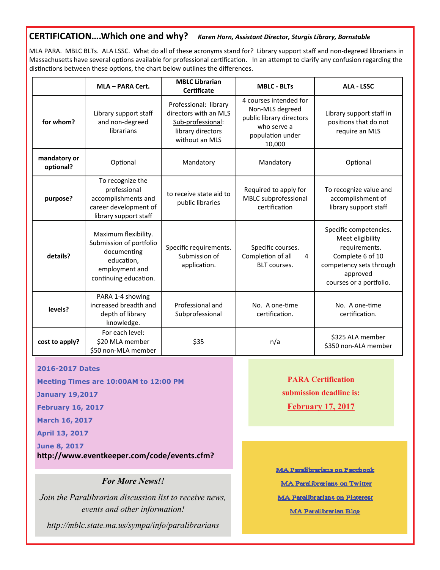## **CERTIFICATION….Which one and why?** *Karen Horn, Assistant Director, Sturgis Library, Barnstable*

MLA PARA. MBLC BLTs. ALA LSSC. What do all of these acronyms stand for? Library support staff and non‐degreed librarians in Massachusetts have several options available for professional certification. In an attempt to clarify any confusion regarding the distinctions between these options, the chart below outlines the differences.

|                           | MLA - PARA Cert.                                                                                                        | <b>MBLC Librarian</b><br>Certificate                                                                       | <b>MBLC - BLTs</b>                                                                                                 | <b>ALA - LSSC</b>                                                                                                                                 |
|---------------------------|-------------------------------------------------------------------------------------------------------------------------|------------------------------------------------------------------------------------------------------------|--------------------------------------------------------------------------------------------------------------------|---------------------------------------------------------------------------------------------------------------------------------------------------|
| for whom?                 | Library support staff<br>and non-degreed<br>librarians                                                                  | Professional: library<br>directors with an MLS<br>Sub-professional:<br>library directors<br>without an MLS | 4 courses intended for<br>Non-MLS degreed<br>public library directors<br>who serve a<br>population under<br>10,000 | Library support staff in<br>positions that do not<br>require an MLS                                                                               |
| mandatory or<br>optional? | Optional                                                                                                                | Mandatory                                                                                                  | Mandatory                                                                                                          | Optional                                                                                                                                          |
| purpose?                  | To recognize the<br>professional<br>accomplishments and<br>career development of<br>library support staff               | to receive state aid to<br>public libraries                                                                | Required to apply for<br>MBLC subprofessional<br>certification                                                     | To recognize value and<br>accomplishment of<br>library support staff                                                                              |
| details?                  | Maximum flexibility.<br>Submission of portfolio<br>documenting<br>education,<br>employment and<br>continuing education. | Specific requirements.<br>Submission of<br>application.                                                    | Specific courses.<br>Completion of all<br>4<br><b>BLT</b> courses.                                                 | Specific competencies.<br>Meet eligibility<br>requirements.<br>Complete 6 of 10<br>competency sets through<br>approved<br>courses or a portfolio. |
| levels?                   | PARA 1-4 showing<br>increased breadth and<br>depth of library<br>knowledge.                                             | Professional and<br>Subprofessional                                                                        | No. A one-time<br>certification.                                                                                   | No. A one-time<br>certification.                                                                                                                  |
| cost to apply?            | For each level:<br>\$20 MLA member<br>\$50 non-MLA member                                                               | \$35                                                                                                       | n/a                                                                                                                | \$325 ALA member<br>\$350 non-ALA member                                                                                                          |

#### **2016-2017 Dates**

**Meeting Times are 10:00AM to 12:00 PM** 

**January 19,2017** 

**February 16, 2017** 

**March 16, 2017** 

**April 13, 2017** 

**June 8, 2017 hƩp://www.eventkeeper.com/code/events.cfm?**

#### *For More News!!*

*Join the Paralibrarian discussion list to receive news, events and other information!* 

*http://mblc.state.ma.us/sympa/info/paralibrarians* 

**PARA Certification submission deadline is: February 17, 2017** 

**MA Paralibrarians on Facebook MA Paralibrarians on Twitter MA Paralibrarians on Pinterest** MA Paralibrarian Blog